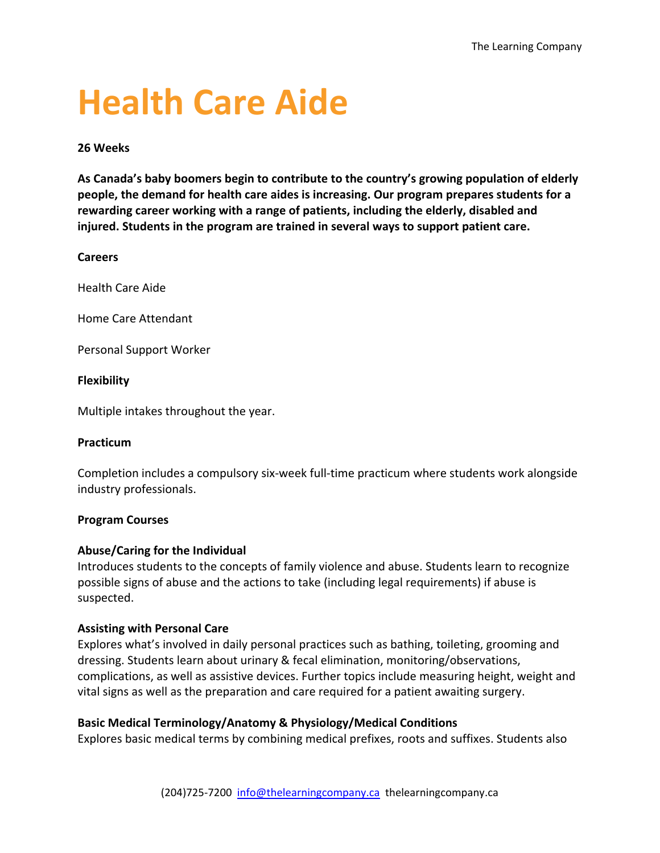# **Health Care Aide**

## **26 Weeks**

**As Canada's baby boomers begin to contribute to the country's growing population of elderly people, the demand for health care aides is increasing. Our program prepares students for a rewarding career working with a range of patients, including the elderly, disabled and injured. Students in the program are trained in several ways to support patient care.**

## **Careers**

Health Care Aide

Home Care Attendant

Personal Support Worker

## **Flexibility**

Multiple intakes throughout the year.

## **Practicum**

Completion includes a compulsory six-week full-time practicum where students work alongside industry professionals.

## **Program Courses**

## **Abuse/Caring for the Individual**

Introduces students to the concepts of family violence and abuse. Students learn to recognize possible signs of abuse and the actions to take (including legal requirements) if abuse is suspected.

## **Assisting with Personal Care**

Explores what's involved in daily personal practices such as bathing, toileting, grooming and dressing. Students learn about urinary & fecal elimination, monitoring/observations, complications, as well as assistive devices. Further topics include measuring height, weight and vital signs as well as the preparation and care required for a patient awaiting surgery.

## **Basic Medical Terminology/Anatomy & Physiology/Medical Conditions**

Explores basic medical terms by combining medical prefixes, roots and suffixes. Students also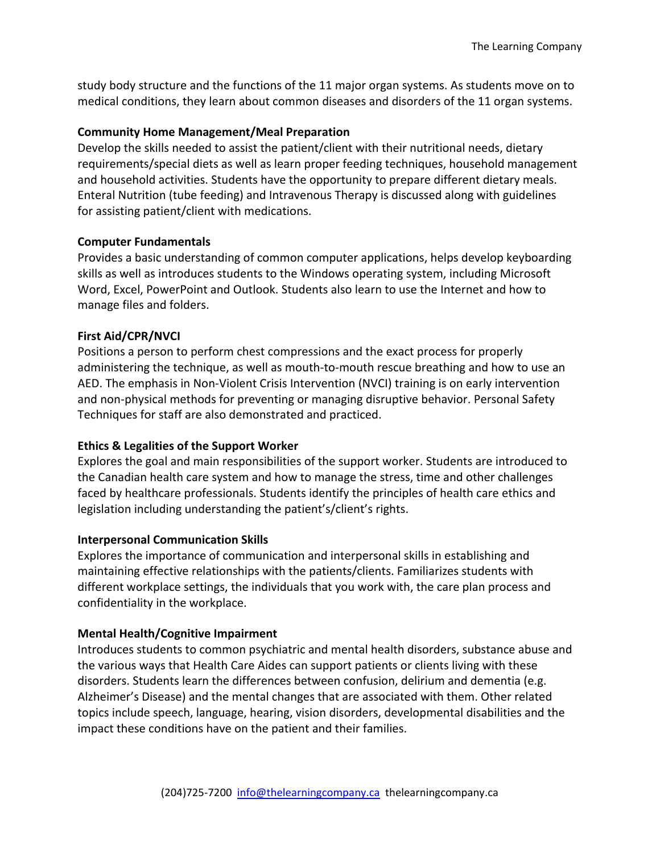study body structure and the functions of the 11 major organ systems. As students move on to medical conditions, they learn about common diseases and disorders of the 11 organ systems.

## **Community Home Management/Meal Preparation**

Develop the skills needed to assist the patient/client with their nutritional needs, dietary requirements/special diets as well as learn proper feeding techniques, household management and household activities. Students have the opportunity to prepare different dietary meals. Enteral Nutrition (tube feeding) and Intravenous Therapy is discussed along with guidelines for assisting patient/client with medications.

#### **Computer Fundamentals**

Provides a basic understanding of common computer applications, helps develop keyboarding skills as well as introduces students to the Windows operating system, including Microsoft Word, Excel, PowerPoint and Outlook. Students also learn to use the Internet and how to manage files and folders.

## **First Aid/CPR/NVCI**

Positions a person to perform chest compressions and the exact process for properly administering the technique, as well as mouth-to-mouth rescue breathing and how to use an AED. The emphasis in Non-Violent Crisis Intervention (NVCI) training is on early intervention and non-physical methods for preventing or managing disruptive behavior. Personal Safety Techniques for staff are also demonstrated and practiced.

## **Ethics & Legalities of the Support Worker**

Explores the goal and main responsibilities of the support worker. Students are introduced to the Canadian health care system and how to manage the stress, time and other challenges faced by healthcare professionals. Students identify the principles of health care ethics and legislation including understanding the patient's/client's rights.

## **Interpersonal Communication Skills**

Explores the importance of communication and interpersonal skills in establishing and maintaining effective relationships with the patients/clients. Familiarizes students with different workplace settings, the individuals that you work with, the care plan process and confidentiality in the workplace.

## **Mental Health/Cognitive Impairment**

Introduces students to common psychiatric and mental health disorders, substance abuse and the various ways that Health Care Aides can support patients or clients living with these disorders. Students learn the differences between confusion, delirium and dementia (e.g. Alzheimer's Disease) and the mental changes that are associated with them. Other related topics include speech, language, hearing, vision disorders, developmental disabilities and the impact these conditions have on the patient and their families.